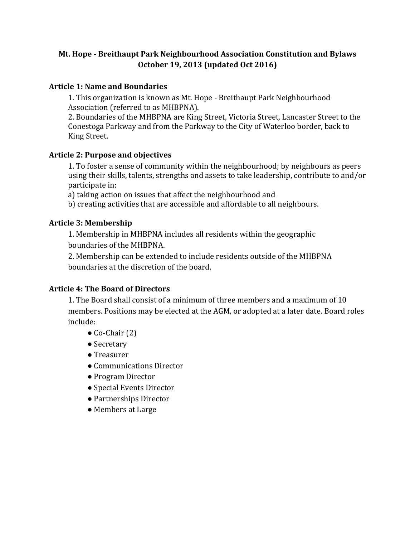# **Mt. Hope - Breithaupt Park Neighbourhood Association Constitution and Bylaws October 19, 2013 (updated Oct 2016)**

### **Article 1: Name and Boundaries**

1. This organization is known as Mt. Hope - Breithaupt Park Neighbourhood Association (referred to as MHBPNA).

2. Boundaries of the MHBPNA are King Street, Victoria Street, Lancaster Street to the Conestoga Parkway and from the Parkway to the City of Waterloo border, back to King Street.

#### Article 2: Purpose and objectives

1. To foster a sense of community within the neighbourhood; by neighbours as peers using their skills, talents, strengths and assets to take leadership, contribute to and/or participate in:

a) taking action on issues that affect the neighbourhood and

b) creating activities that are accessible and affordable to all neighbours.

## **Article 3: Membership**

1. Membership in MHBPNA includes all residents within the geographic boundaries of the MHBPNA.

2. Membership can be extended to include residents outside of the MHBPNA boundaries at the discretion of the board.

# **Article 4: The Board of Directors**

1. The Board shall consist of a minimum of three members and a maximum of 10 members. Positions may be elected at the AGM, or adopted at a later date. Board roles include:

- $\bullet$  Co-Chair $(2)$
- Secretary
- Treasurer
- Communications Director
- Program Director
- Special Events Director
- Partnerships Director
- Members at Large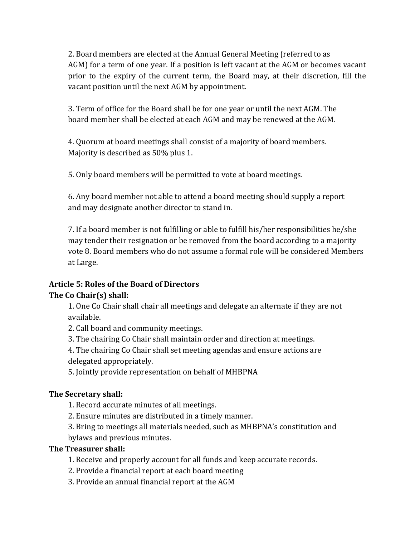2. Board members are elected at the Annual General Meeting (referred to as AGM) for a term of one year. If a position is left vacant at the AGM or becomes vacant prior to the expiry of the current term, the Board may, at their discretion, fill the vacant position until the next AGM by appointment.

3. Term of office for the Board shall be for one year or until the next AGM. The board member shall be elected at each AGM and may be renewed at the AGM.

4. Quorum at board meetings shall consist of a majority of board members. Majority is described as 50% plus 1.

5. Only board members will be permitted to vote at board meetings.

6. Any board member not able to attend a board meeting should supply a report and may designate another director to stand in.

7. If a board member is not fulfilling or able to fulfill his/her responsibilities he/she may tender their resignation or be removed from the board according to a majority vote 8. Board members who do not assume a formal role will be considered Members at Large.

# **Article 5: Roles of the Board of Directors**

# The Co Chair(s) shall:

1. One Co Chair shall chair all meetings and delegate an alternate if they are not available. 

2. Call board and community meetings.

3. The chairing Co Chair shall maintain order and direction at meetings.

4. The chairing Co Chair shall set meeting agendas and ensure actions are delegated appropriately.

5. Jointly provide representation on behalf of MHBPNA

# **The Secretary shall:**

1. Record accurate minutes of all meetings.

2. Ensure minutes are distributed in a timely manner.

3. Bring to meetings all materials needed, such as MHBPNA's constitution and bylaws and previous minutes.

# **The Treasurer shall:**

1. Receive and properly account for all funds and keep accurate records.

- 2. Provide a financial report at each board meeting
- 3. Provide an annual financial report at the AGM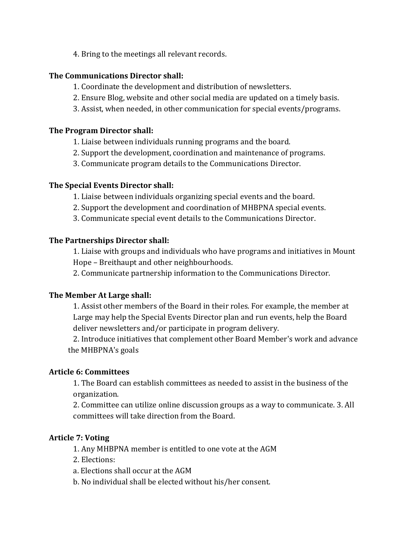4. Bring to the meetings all relevant records.

### **The Communications Director shall:**

- 1. Coordinate the development and distribution of newsletters.
- 2. Ensure Blog, website and other social media are updated on a timely basis.
- 3. Assist, when needed, in other communication for special events/programs.

## **The Program Director shall:**

- 1. Liaise between individuals running programs and the board.
- 2. Support the development, coordination and maintenance of programs.
- 3. Communicate program details to the Communications Director.

## The Special Events Director shall:

- 1. Liaise between individuals organizing special events and the board.
- 2. Support the development and coordination of MHBPNA special events.
- 3. Communicate special event details to the Communications Director.

## **The Partnerships Director shall:**

1. Liaise with groups and individuals who have programs and initiatives in Mount Hope – Breithaupt and other neighbourhoods.

2. Communicate partnership information to the Communications Director.

# **The Member At Large shall:**

1. Assist other members of the Board in their roles. For example, the member at Large may help the Special Events Director plan and run events, help the Board deliver newsletters and/or participate in program delivery.

2. Introduce initiatives that complement other Board Member's work and advance the MHBPNA's goals

#### **Article 6: Committees**

1. The Board can establish committees as needed to assist in the business of the organization. 

2. Committee can utilize online discussion groups as a way to communicate. 3. All committees will take direction from the Board.

# **Article 7: Voting**

- 1. Any MHBPNA member is entitled to one vote at the AGM
- 2. Elections:
- a. Elections shall occur at the AGM
- b. No individual shall be elected without his/her consent.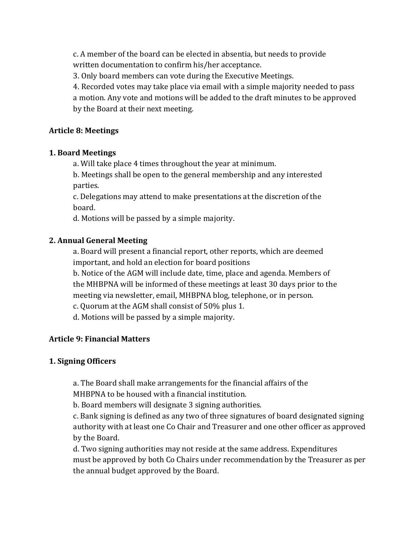c. A member of the board can be elected in absentia, but needs to provide written documentation to confirm his/her acceptance.

3. Only board members can vote during the Executive Meetings.

4. Recorded votes may take place via email with a simple majority needed to pass a motion. Any vote and motions will be added to the draft minutes to be approved by the Board at their next meeting.

# **Article 8: Meetings**

# **1. Board Meetings**

a. Will take place 4 times throughout the year at minimum.

b. Meetings shall be open to the general membership and any interested parties. 

c. Delegations may attend to make presentations at the discretion of the board. 

d. Motions will be passed by a simple majority.

# **2. Annual General Meeting**

a. Board will present a financial report, other reports, which are deemed important, and hold an election for board positions

b. Notice of the AGM will include date, time, place and agenda. Members of the MHBPNA will be informed of these meetings at least 30 days prior to the meeting via newsletter, email, MHBPNA blog, telephone, or in person.

c. Quorum at the AGM shall consist of 50% plus 1.

d. Motions will be passed by a simple majority.

# **Article 9: Financial Matters**

# **1. Signing Officers**

a. The Board shall make arrangements for the financial affairs of the

MHBPNA to be housed with a financial institution.

b. Board members will designate 3 signing authorities.

c. Bank signing is defined as any two of three signatures of board designated signing authority with at least one Co Chair and Treasurer and one other officer as approved by the Board.

d. Two signing authorities may not reside at the same address. Expenditures must be approved by both Co Chairs under recommendation by the Treasurer as per the annual budget approved by the Board.